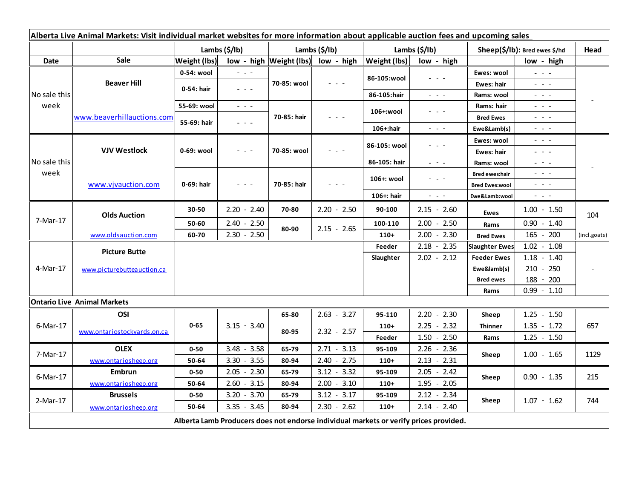| Alberta Live Animal Markets: Visit individual market websites for more information about applicable auction fees and upcoming sales |                             |                     |                                                                                                 |                             |               |               |                                                                                                                           |                               |                                                                                                                           |                     |
|-------------------------------------------------------------------------------------------------------------------------------------|-----------------------------|---------------------|-------------------------------------------------------------------------------------------------|-----------------------------|---------------|---------------|---------------------------------------------------------------------------------------------------------------------------|-------------------------------|---------------------------------------------------------------------------------------------------------------------------|---------------------|
|                                                                                                                                     |                             | Lambs (\$/lb)       |                                                                                                 | Lambs (\$/lb)               |               | Lambs (\$/lb) |                                                                                                                           | Sheep(\$/lb): Bred ewes \$/hd |                                                                                                                           | Head                |
| Date                                                                                                                                | Sale                        | <b>Weight (lbs)</b> |                                                                                                 | $low - high$   Weight (lbs) | low - high    | Weight (lbs)  | low - high                                                                                                                |                               | low - high                                                                                                                |                     |
| No sale this<br>week                                                                                                                | <b>Beaver Hill</b>          | 0-54: wool          | - - -                                                                                           | 70-85: wool                 |               | 86-105:wool   |                                                                                                                           | Ewes: wool                    | $\frac{1}{2} \left( \frac{1}{2} \right) = \frac{1}{2} \left( \frac{1}{2} \right)$                                         |                     |
|                                                                                                                                     |                             | 0-54: hair          | $  -$                                                                                           |                             |               |               |                                                                                                                           | Ewes: hair                    | $  -$                                                                                                                     |                     |
|                                                                                                                                     |                             |                     |                                                                                                 |                             |               | 86-105:hair   | $\frac{1}{2} \left( \frac{1}{2} \right) = \frac{1}{2} \left( \frac{1}{2} \right)$                                         | Rams: wool                    | $\frac{1}{2} \left( \frac{1}{2} \right) \left( \frac{1}{2} \right) \left( \frac{1}{2} \right) \left( \frac{1}{2} \right)$ |                     |
|                                                                                                                                     | www.beaverhillauctions.com  | 55-69: wool         | $\frac{1}{2} \left( \frac{1}{2} \right) = \frac{1}{2} \left( \frac{1}{2} \right) = \frac{1}{2}$ | 70-85: hair                 |               | 106+:wool     |                                                                                                                           | Rams: hair                    | - - -                                                                                                                     |                     |
|                                                                                                                                     |                             | 55-69: hair         | $  -$                                                                                           |                             |               |               |                                                                                                                           | <b>Bred Ewes</b>              | $  -$                                                                                                                     |                     |
|                                                                                                                                     |                             |                     |                                                                                                 |                             |               | 106+:hair     | $\frac{1}{2} \left( \frac{1}{2} \right) \left( \frac{1}{2} \right) \left( \frac{1}{2} \right) \left( \frac{1}{2} \right)$ | Ewe&Lamb(s)                   | $\frac{1}{2} \left( \frac{1}{2} \right) \left( \frac{1}{2} \right) \left( \frac{1}{2} \right) \left( \frac{1}{2} \right)$ |                     |
| No sale this<br>week                                                                                                                | <b>VJV Westlock</b>         | 0-69: wool          |                                                                                                 | 70-85: wool                 |               | 86-105: wool  |                                                                                                                           | Ewes: wool                    | - - -                                                                                                                     |                     |
|                                                                                                                                     |                             |                     |                                                                                                 |                             |               |               |                                                                                                                           | Ewes: hair                    | - - -                                                                                                                     |                     |
|                                                                                                                                     |                             |                     |                                                                                                 |                             |               | 86-105: hair  | $\frac{1}{2} \left( \frac{1}{2} \right) = \frac{1}{2} \left( \frac{1}{2} \right)$                                         | Rams: wool                    | $\frac{1}{2} \left( \frac{1}{2} \right) = \frac{1}{2} \left( \frac{1}{2} \right)$                                         |                     |
|                                                                                                                                     | www.vjvauction.com          | 0-69: hair          | - - -                                                                                           | 70-85: hair                 |               | 106+: wool    |                                                                                                                           | <b>Bred ewes:hair</b>         | - - -                                                                                                                     |                     |
|                                                                                                                                     |                             |                     |                                                                                                 |                             |               |               |                                                                                                                           | <b>Bred Ewes:wool</b>         | - - -                                                                                                                     |                     |
|                                                                                                                                     |                             |                     |                                                                                                 |                             |               | 106+: hair    | $\frac{1}{2} \left( \frac{1}{2} \right) \left( \frac{1}{2} \right) \left( \frac{1}{2} \right) \left( \frac{1}{2} \right)$ | Ewe&Lamb:wool                 | $\sigma_{\rm{eff}}$ and $\sigma_{\rm{eff}}$                                                                               |                     |
| 7-Mar-17                                                                                                                            | <b>Olds Auction</b>         | 30-50               | $2.20 - 2.40$                                                                                   | 70-80                       | $2.20 - 2.50$ | 90-100        | $2.15 - 2.60$                                                                                                             | <b>Ewes</b>                   | $1.00 - 1.50$                                                                                                             | 104<br>(incl.goats) |
|                                                                                                                                     |                             | 50-60               | $2.40 - 2.50$                                                                                   | 80-90                       | $2.15 - 2.65$ | 100-110       | $2.00 - 2.50$                                                                                                             | Rams                          | $0.90 - 1.40$                                                                                                             |                     |
|                                                                                                                                     | www.oldsauction.com         | 60-70               | $2.30 - 2.50$                                                                                   |                             |               | $110+$        | $2.00 - 2.30$                                                                                                             | <b>Bred Ewes</b>              | 200<br>165<br>$\sim$                                                                                                      |                     |
| 4-Mar-17                                                                                                                            | <b>Picture Butte</b>        |                     |                                                                                                 |                             |               | Feeder        | $2.18 - 2.35$                                                                                                             | <b>Slaughter Ewes</b>         | $1.02 - 1.08$                                                                                                             |                     |
|                                                                                                                                     | www.picturebutteauction.ca  |                     |                                                                                                 |                             |               |               | $2.02 - 2.12$                                                                                                             | <b>Feeder Ewes</b>            | 1.18<br>$-1.40$                                                                                                           |                     |
|                                                                                                                                     |                             |                     |                                                                                                 |                             |               |               |                                                                                                                           | Ewe&lamb(s)                   | 250<br>210<br>$\overline{\phantom{a}}$                                                                                    |                     |
|                                                                                                                                     |                             |                     |                                                                                                 |                             |               |               |                                                                                                                           | <b>Bred ewes</b>              | 188<br>200                                                                                                                |                     |
|                                                                                                                                     |                             |                     |                                                                                                 |                             |               |               |                                                                                                                           | Rams                          | $0.99 - 1.10$                                                                                                             |                     |
| <b>Ontario Live Animal Markets</b>                                                                                                  |                             |                     |                                                                                                 |                             |               |               |                                                                                                                           |                               |                                                                                                                           |                     |
| 6-Mar-17                                                                                                                            | OSI                         |                     | $3.15 - 3.40$                                                                                   | 65-80                       | $2.63 - 3.27$ | 95-110        | $2.20 - 2.30$                                                                                                             | Sheep                         | 1.25<br>$-1.50$                                                                                                           | 657                 |
|                                                                                                                                     | www.ontariostockyards.on.ca | $0 - 65$            |                                                                                                 | 80-95                       | $2.32 - 2.57$ | $110+$        | $2.25 - 2.32$                                                                                                             | <b>Thinner</b>                | $1.35 - 1.72$                                                                                                             |                     |
|                                                                                                                                     |                             |                     |                                                                                                 |                             |               | Feeder        | $1.50 - 2.50$                                                                                                             | Rams                          | $1.25 - 1.50$                                                                                                             |                     |
| 7-Mar-17                                                                                                                            | <b>OLEX</b>                 | $0 - 50$            | $3.48 - 3.58$                                                                                   | 65-79                       | $2.71 - 3.13$ | 95-109        | $2.26 - 2.36$                                                                                                             | Sheep                         | $1.00 - 1.65$                                                                                                             | 1129                |
|                                                                                                                                     | www.ontariosheep.org        | 50-64               | $3.30 - 3.55$                                                                                   | 80-94                       | $2.40 - 2.75$ | $110+$        | $2.13 - 2.31$                                                                                                             |                               |                                                                                                                           |                     |
| 6-Mar-17                                                                                                                            | <b>Embrun</b>               | $0 - 50$            | $2.05 - 2.30$                                                                                   | 65-79                       | $3.12 - 3.32$ | 95-109        | $2.05 - 2.42$                                                                                                             | Sheep                         | $0.90 - 1.35$                                                                                                             | 215                 |
|                                                                                                                                     | www.ontariosheep.org        | 50-64               | $2.60 - 3.15$                                                                                   | 80-94                       | $2.00 - 3.10$ | $110+$        | $1.95 - 2.05$                                                                                                             |                               |                                                                                                                           |                     |
| 2-Mar-17                                                                                                                            | <b>Brussels</b>             | $0 - 50$            | $3.20 - 3.70$                                                                                   | 65-79                       | $3.12 - 3.17$ | 95-109        | $2.12 - 2.34$                                                                                                             | Sheep                         | $1.07 - 1.62$                                                                                                             | 744                 |
|                                                                                                                                     | www.ontariosheep.org        | 50-64               | $3.35 - 3.45$                                                                                   | 80-94                       | $2.30 - 2.62$ | $110+$        | $2.14 - 2.40$                                                                                                             |                               |                                                                                                                           |                     |
| Alberta Lamb Producers does not endorse individual markets or verify prices provided.                                               |                             |                     |                                                                                                 |                             |               |               |                                                                                                                           |                               |                                                                                                                           |                     |